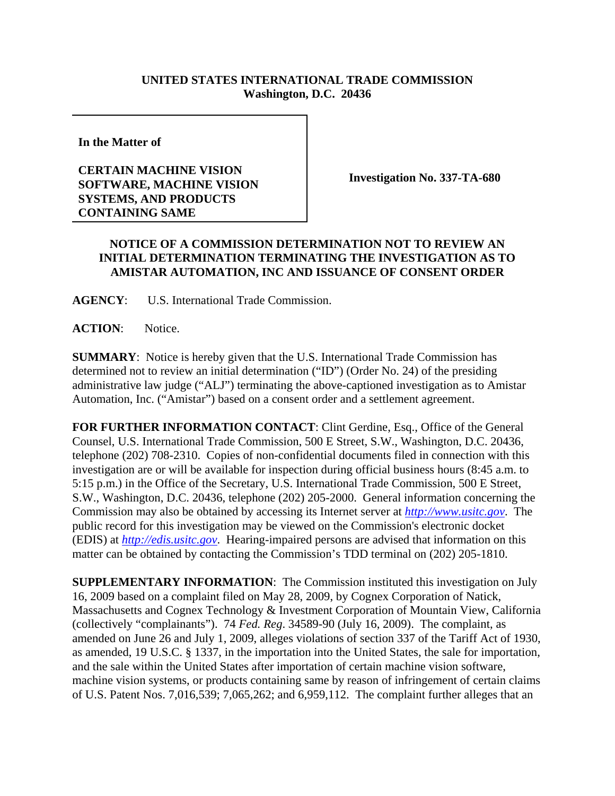## **UNITED STATES INTERNATIONAL TRADE COMMISSION Washington, D.C. 20436**

**In the Matter of** 

## **CERTAIN MACHINE VISION SOFTWARE, MACHINE VISION SYSTEMS, AND PRODUCTS CONTAINING SAME**

**Investigation No. 337-TA-680**

## **NOTICE OF A COMMISSION DETERMINATION NOT TO REVIEW AN INITIAL DETERMINATION TERMINATING THE INVESTIGATION AS TO AMISTAR AUTOMATION, INC AND ISSUANCE OF CONSENT ORDER**

**AGENCY**: U.S. International Trade Commission.

**ACTION**: Notice.

**SUMMARY**: Notice is hereby given that the U.S. International Trade Commission has determined not to review an initial determination ("ID") (Order No. 24) of the presiding administrative law judge ("ALJ") terminating the above-captioned investigation as to Amistar Automation, Inc. ("Amistar") based on a consent order and a settlement agreement.

**FOR FURTHER INFORMATION CONTACT**: Clint Gerdine, Esq., Office of the General Counsel, U.S. International Trade Commission, 500 E Street, S.W., Washington, D.C. 20436, telephone (202) 708-2310. Copies of non-confidential documents filed in connection with this investigation are or will be available for inspection during official business hours (8:45 a.m. to 5:15 p.m.) in the Office of the Secretary, U.S. International Trade Commission, 500 E Street, S.W., Washington, D.C. 20436, telephone (202) 205-2000. General information concerning the Commission may also be obtained by accessing its Internet server at *http://www.usitc.gov*. The public record for this investigation may be viewed on the Commission's electronic docket (EDIS) at *http://edis.usitc.gov*. Hearing-impaired persons are advised that information on this matter can be obtained by contacting the Commission's TDD terminal on (202) 205-1810.

**SUPPLEMENTARY INFORMATION:** The Commission instituted this investigation on July 16, 2009 based on a complaint filed on May 28, 2009, by Cognex Corporation of Natick, Massachusetts and Cognex Technology & Investment Corporation of Mountain View, California (collectively "complainants"). 74 *Fed. Reg*. 34589-90 (July 16, 2009). The complaint, as amended on June 26 and July 1, 2009, alleges violations of section 337 of the Tariff Act of 1930, as amended, 19 U.S.C. § 1337, in the importation into the United States, the sale for importation, and the sale within the United States after importation of certain machine vision software, machine vision systems, or products containing same by reason of infringement of certain claims of U.S. Patent Nos. 7,016,539; 7,065,262; and 6,959,112. The complaint further alleges that an